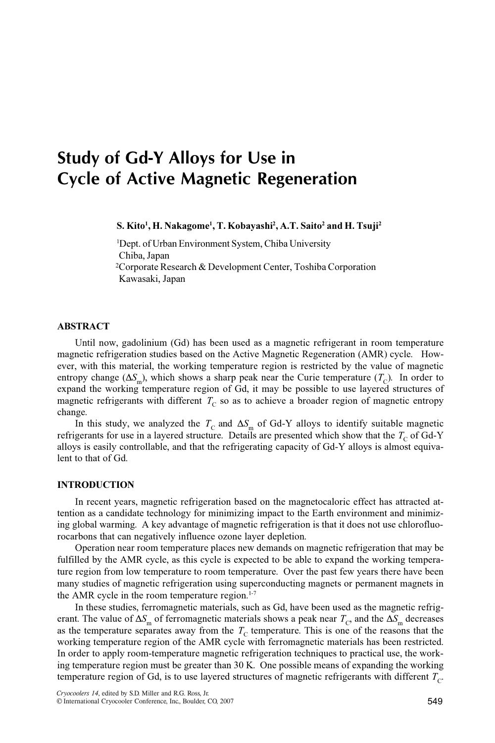# Study of Gd-Y Alloys for Use in Cycle of Active Magnetic Regeneration

S. Kito<sup>1</sup>, H. Nakagome<sup>1</sup>, T. Kobayashi<sup>2</sup>, A.T. Saito<sup>2</sup> and H. Tsuji<sup>2</sup>

<sup>1</sup>Dept. of Urban Environment System, Chiba University Chiba, Japan <sup>2</sup>Corporate Research & Development Center, Toshiba Corporation

## Kawasaki, Japan

# ABSTRACT

Until now, gadolinium (Gd) has been used as a magnetic refrigerant in room temperature magnetic refrigeration studies based on the Active Magnetic Regeneration (AMR) cycle. However, with this material, the working temperature region is restricted by the value of magnetic entropy change ( $\Delta S_m$ ), which shows a sharp peak near the Curie temperature ( $T_c$ ). In order to expand the working temperature region of Gd, it may be possible to use layered structures of magnetic refrigerants with different  $T_{\text{C}}$  so as to achieve a broader region of magnetic entropy change.

In this study, we analyzed the  $T_c$  and  $\Delta S_m$  of Gd-Y alloys to identify suitable magnetic refrigerants for use in a layered structure. Details are presented which show that the  $T_{\rm C}$  of Gd-Y alloys is easily controllable, and that the refrigerating capacity of Gd-Y alloys is almost equivalent to that of Gd.

#### INTRODUCTION

In recent years, magnetic refrigeration based on the magnetocaloric effect has attracted attention as a candidate technology for minimizing impact to the Earth environment and minimizing global warming. A key advantage of magnetic refrigeration is that it does not use chlorofluorocarbons that can negatively influence ozone layer depletion.

Operation near room temperature places new demands on magnetic refrigeration that may be fulfilled by the AMR cycle, as this cycle is expected to be able to expand the working temperature region from low temperature to room temperature. Over the past few years there have been many studies of magnetic refrigeration using superconducting magnets or permanent magnets in the AMR cycle in the room temperature region. $1-7$ 

In these studies, ferromagnetic materials, such as Gd, have been used as the magnetic refrigerant. The value of  $\Delta S_m$  of ferromagnetic materials shows a peak near  $T_c$ , and the  $\Delta S_m$  decreases as the temperature separates away from the  $T<sub>C</sub>$  temperature. This is one of the reasons that the working temperature region of the AMR cycle with ferromagnetic materials has been restricted. In order to apply room-temperature magnetic refrigeration techniques to practical use, the working temperature region must be greater than 30 K. One possible means of expanding the working temperature region of Gd, is to use layered structures of magnetic refrigerants with different  $T_c$ .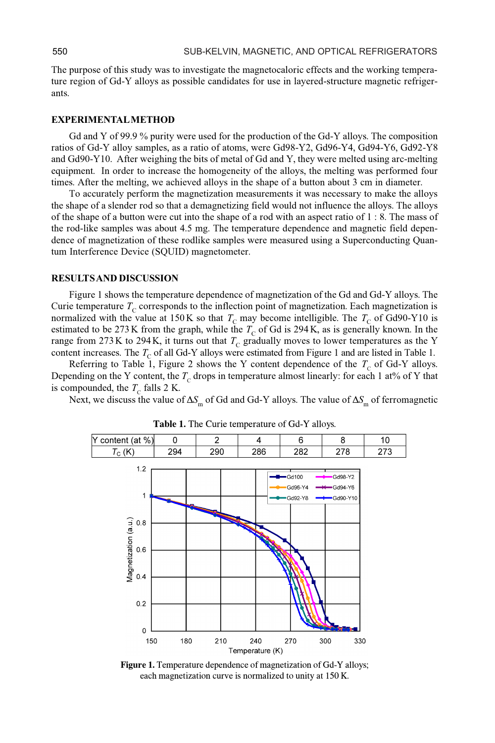The purpose of this study was to investigate the magnetocaloric effects and the working temperature region of Gd-Y alloys as possible candidates for use in layered-structure magnetic refrigerants.

# EXPERIMENTAL METHOD

Gd and Y of 99.9 % purity were used for the production of the Gd-Y alloys. The composition ratios of Gd-Y alloy samples, as a ratio of atoms, were Gd98-Y2, Gd96-Y4, Gd94-Y6, Gd92-Y8 and Gd90-Y10. After weighing the bits of metal of Gd and Y, they were melted using arc-melting equipment. In order to increase the homogeneity of the alloys, the melting was performed four times. After the melting, we achieved alloys in the shape of a button about 3 cm in diameter.

To accurately perform the magnetization measurements it was necessary to make the alloys the shape of a slender rod so that a demagnetizing field would not influence the alloys. The alloys of the shape of a button were cut into the shape of a rod with an aspect ratio of 1 : 8. The mass of the rod-like samples was about 4.5 mg. The temperature dependence and magnetic field dependence of magnetization of these rodlike samples were measured using a Superconducting Quantum Interference Device (SQUID) magnetometer.

## RESULTS AND DISCUSSION

Figure 1 shows the temperature dependence of magnetization of the Gd and Gd-Y alloys. The Curie temperature  $T_c$  corresponds to the inflection point of magnetization. Each magnetization is normalized with the value at 150K so that  $T_c$  may become intelligible. The  $T_c$  of Gd90-Y10 is estimated to be 273 K from the graph, while the  $T_c$  of Gd is 294 K, as is generally known. In the range from 273K to 294K, it turns out that  $T_c$  gradually moves to lower temperatures as the Y content increases. The  $T_c$  of all Gd-Y alloys were estimated from Figure 1 and are listed in Table 1.

Referring to Table 1, Figure 2 shows the Y content dependence of the  $T_c$  of Gd-Y alloys. Depending on the Y content, the  $T_c$  drops in temperature almost linearly: for each 1 at% of Y that is compounded, the  $T_c$  falls 2 K.

Next, we discuss the value of  $\Delta S_m$  of Gd and Gd-Y alloys. The value of  $\Delta S_m$  of ferromagnetic



Table 1. The Curie temperature of Gd-Y alloys.

Figure 1. Temperature dependence of magnetization of Gd-Y alloys; each magnetization curve is normalized to unity at 150 K.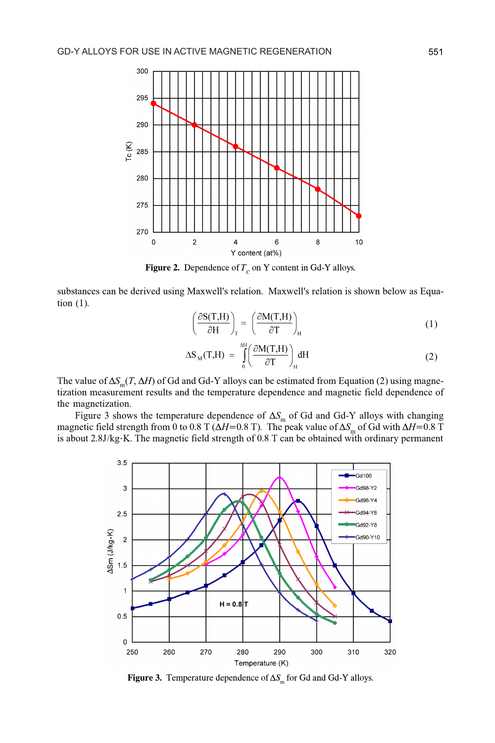

Figure 2. Dependence of  $T_c$  on Y content in Gd-Y alloys.

substances can be derived using Maxwell's relation. Maxwell's relation is shown below as Equation (1).

$$
\left(\frac{\partial S(T,H)}{\partial H}\right)_T = \left(\frac{\partial M(T,H)}{\partial T}\right)_H
$$
 (1)

$$
\Delta S_{\rm M}(T,H) = \int_{0}^{\Delta H} \left( \frac{\partial M(T,H)}{\partial T} \right)_{H} dH \tag{2}
$$

The value of  $\Delta S_m(T, \Delta H)$  of Gd and Gd-Y alloys can be estimated from Equation (2) using magnetization measurement results and the temperature dependence and magnetic field dependence of the magnetization.

Figure 3 shows the temperature dependence of  $\Delta S_m$  of Gd and Gd-Y alloys with changing magnetic field strength from 0 to 0.8 T ( $\Delta H$ =0.8 T). The peak value of  $\Delta S$  of Gd with  $\Delta H$ =0.8 T is about 2.8J/kg·K. The magnetic field strength of 0.8 T can be obtained with ordinary permanent



Figure 3. Temperature dependence of  $\Delta S_m$  for Gd and Gd-Y alloys.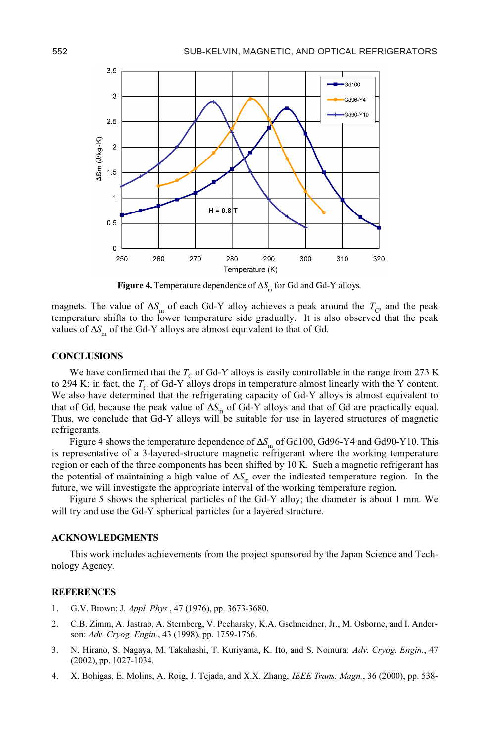

Figure 4. Temperature dependence of  $\Delta S_m$  for Gd and Gd-Y alloys.

magnets. The value of  $\Delta S_{\text{m}}$  of each Gd-Y alloy achieves a peak around the  $T_{\text{C}}$ , and the peak temperature shifts to the lower temperature side gradually. It is also observed that the peak values of  $\Delta S_m$  of the Gd-Y alloys are almost equivalent to that of Gd.

## **CONCLUSIONS**

We have confirmed that the  $T<sub>C</sub>$  of Gd-Y alloys is easily controllable in the range from 273 K to 294 K; in fact, the  $T_c$  of Gd-Y alloys drops in temperature almost linearly with the Y content. We also have determined that the refrigerating capacity of Gd-Y alloys is almost equivalent to that of Gd, because the peak value of  $\Delta S_m$  of Gd-Y alloys and that of Gd are practically equal. Thus, we conclude that Gd-Y alloys will be suitable for use in layered structures of magnetic refrigerants.

Figure 4 shows the temperature dependence of  $\Delta S_m$  of Gd100, Gd96-Y4 and Gd90-Y10. This is representative of a 3-layered-structure magnetic refrigerant where the working temperature region or each of the three components has been shifted by 10 K. Such a magnetic refrigerant has the potential of maintaining a high value of  $\Delta S_m$  over the indicated temperature region. In the future, we will investigate the appropriate interval of the working temperature region.

Figure 5 shows the spherical particles of the Gd-Y alloy; the diameter is about 1 mm. We will try and use the Gd-Y spherical particles for a layered structure.

#### ACKNOWLEDGMENTS

This work includes achievements from the project sponsored by the Japan Science and Technology Agency.

### **REFERENCES**

- 1. G.V. Brown: J. Appl. Phys., 47 (1976), pp. 3673-3680.
- 2. C.B. Zimm, A. Jastrab, A. Sternberg, V. Pecharsky, K.A. Gschneidner, Jr., M. Osborne, and I. Anderson: Adv. Cryog. Engin., 43 (1998), pp. 1759-1766.
- 3. N. Hirano, S. Nagaya, M. Takahashi, T. Kuriyama, K. Ito, and S. Nomura: Adv. Cryog. Engin., 47 (2002), pp. 1027-1034.
- 4. X. Bohigas, E. Molins, A. Roig, J. Tejada, and X.X. Zhang, IEEE Trans. Magn., 36 (2000), pp. 538-